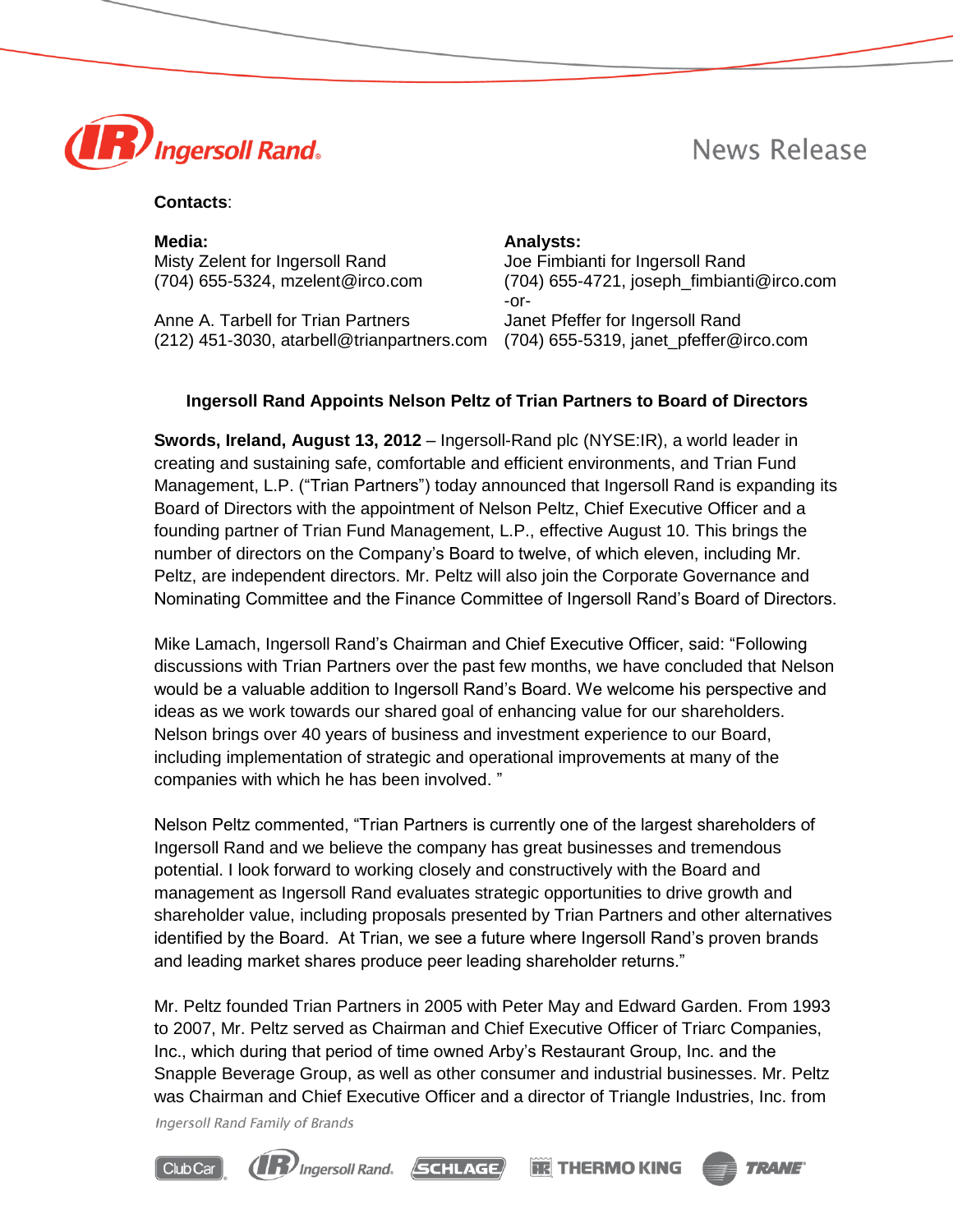



### **Contacts**:

**Media: Analysts:** Misty Zelent for Ingersoll Rand Joe Fimbianti for Ingersoll Rand

Anne A. Tarbell for Trian Partners **Janet Preffer for Ingersoll Rand** (212) 451-3030, atarbell@trianpartners.com (704) 655-5319, janet\_pfeffer@irco.com

(704) 655-5324, mzelent@irco.com (704) 655-4721, joseph\_fimbianti@irco.com -or-

# **Ingersoll Rand Appoints Nelson Peltz of Trian Partners to Board of Directors**

**Swords, Ireland, August 13, 2012** – Ingersoll-Rand plc (NYSE:IR), a world leader in creating and sustaining safe, comfortable and efficient environments, and Trian Fund Management, L.P. ("Trian Partners") today announced that Ingersoll Rand is expanding its Board of Directors with the appointment of Nelson Peltz, Chief Executive Officer and a founding partner of Trian Fund Management, L.P., effective August 10. This brings the number of directors on the Company's Board to twelve, of which eleven, including Mr. Peltz, are independent directors. Mr. Peltz will also join the Corporate Governance and Nominating Committee and the Finance Committee of Ingersoll Rand's Board of Directors.

Mike Lamach, Ingersoll Rand's Chairman and Chief Executive Officer, said: "Following discussions with Trian Partners over the past few months, we have concluded that Nelson would be a valuable addition to Ingersoll Rand's Board. We welcome his perspective and ideas as we work towards our shared goal of enhancing value for our shareholders. Nelson brings over 40 years of business and investment experience to our Board, including implementation of strategic and operational improvements at many of the companies with which he has been involved. "

Nelson Peltz commented, "Trian Partners is currently one of the largest shareholders of Ingersoll Rand and we believe the company has great businesses and tremendous potential. I look forward to working closely and constructively with the Board and management as Ingersoll Rand evaluates strategic opportunities to drive growth and shareholder value, including proposals presented by Trian Partners and other alternatives identified by the Board. At Trian, we see a future where Ingersoll Rand's proven brands and leading market shares produce peer leading shareholder returns."

Mr. Peltz founded Trian Partners in 2005 with Peter May and Edward Garden. From 1993 to 2007, Mr. Peltz served as Chairman and Chief Executive Officer of Triarc Companies, Inc., which during that period of time owned Arby's Restaurant Group, Inc. and the Snapple Beverage Group, as well as other consumer and industrial businesses. Mr. Peltz was Chairman and Chief Executive Officer and a director of Triangle Industries, Inc. from

**Ingersoll Rand Family of Brands**